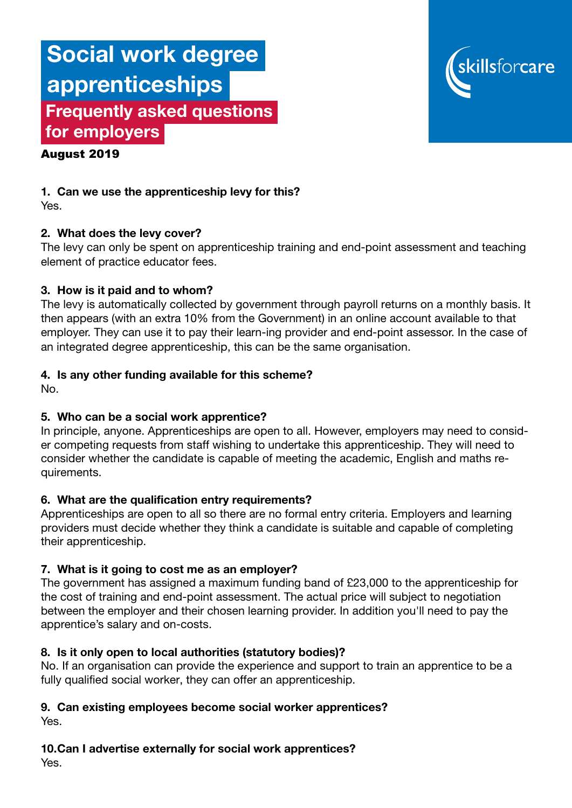# Social work degree apprenticeships Frequently asked questions for employers



#### August 2019

1. Can we use the apprenticeship levy for this? Yes.

### 2. What does the levy cover?

The levy can only be spent on apprenticeship training and end-point assessment and teaching element of practice educator fees.

#### 3. How is it paid and to whom?

The levy is automatically collected by government through payroll returns on a monthly basis. It then appears (with an extra 10% from the Government) in an online account available to that employer. They can use it to pay their learn-ing provider and end-point assessor. In the case of an integrated degree apprenticeship, this can be the same organisation.

#### 4. Is any other funding available for this scheme?

No.

### 5. Who can be a social work apprentice?

In principle, anyone. Apprenticeships are open to all. However, employers may need to consider competing requests from staff wishing to undertake this apprenticeship. They will need to consider whether the candidate is capable of meeting the academic, English and maths requirements.

#### 6. What are the qualification entry requirements?

Apprenticeships are open to all so there are no formal entry criteria. Employers and learning providers must decide whether they think a candidate is suitable and capable of completing their apprenticeship.

#### 7. What is it going to cost me as an employer?

The government has assigned a maximum funding band of £23,000 to the apprenticeship for the cost of training and end-point assessment. The actual price will subject to negotiation between the employer and their chosen learning provider. In addition you'll need to pay the apprentice's salary and on-costs.

#### 8. Is it only open to local authorities (statutory bodies)?

No. If an organisation can provide the experience and support to train an apprentice to be a fully qualified social worker, they can offer an apprenticeship.

#### 9. Can existing employees become social worker apprentices? Yes.

#### 10.Can I advertise externally for social work apprentices?

Yes.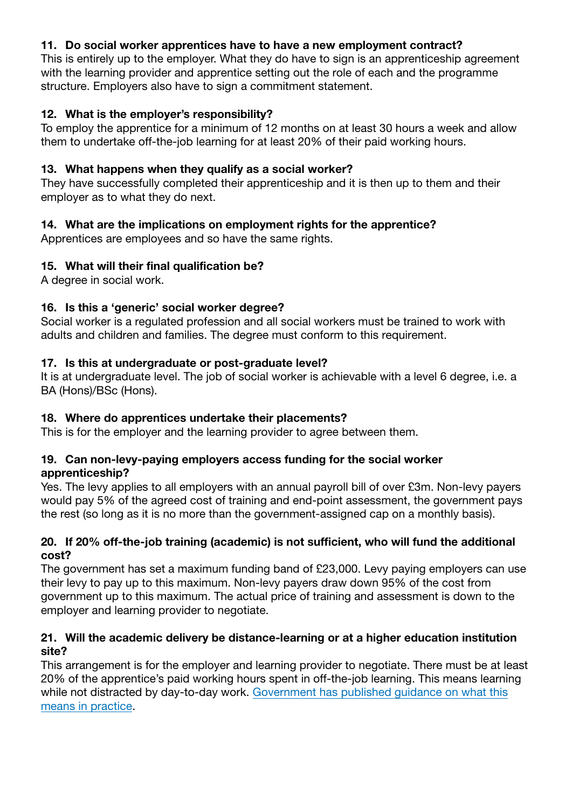## 11. Do social worker apprentices have to have a new employment contract?

This is entirely up to the employer. What they do have to sign is an apprenticeship agreement with the learning provider and apprentice setting out the role of each and the programme structure. Employers also have to sign a commitment statement.

### 12. What is the employer's responsibility?

To employ the apprentice for a minimum of 12 months on at least 30 hours a week and allow them to undertake off-the-job learning for at least 20% of their paid working hours.

### 13. What happens when they qualify as a social worker?

They have successfully completed their apprenticeship and it is then up to them and their employer as to what they do next.

## 14. What are the implications on employment rights for the apprentice?

Apprentices are employees and so have the same rights.

### 15. What will their final qualification be?

A degree in social work.

### 16. Is this a 'generic' social worker degree?

Social worker is a regulated profession and all social workers must be trained to work with adults and children and families. The degree must conform to this requirement.

#### 17. Is this at undergraduate or post-graduate level?

It is at undergraduate level. The job of social worker is achievable with a level 6 degree, i.e. a BA (Hons)/BSc (Hons).

### 18. Where do apprentices undertake their placements?

This is for the employer and the learning provider to agree between them.

#### 19. Can non-levy-paying employers access funding for the social worker apprenticeship?

Yes. The levy applies to all employers with an annual payroll bill of over £3m. Non-levy payers would pay 5% of the agreed cost of training and end-point assessment, the government pays the rest (so long as it is no more than the government-assigned cap on a monthly basis).

#### 20. If 20% off-the-job training (academic) is not sufficient, who will fund the additional cost?

The government has set a maximum funding band of £23,000. Levy paying employers can use their levy to pay up to this maximum. Non-levy payers draw down 95% of the cost from government up to this maximum. The actual price of training and assessment is down to the employer and learning provider to negotiate.

#### 21. Will the academic delivery be distance-learning or at a higher education institution site?

This arrangement is for the employer and learning provider to negotiate. There must be at least 20% of the apprentice's paid working hours spent in off-the-job learning. This means learning while not distracted by day-to-day work. [Government has published guidance on what this](https://www.gov.uk/government/publications/apprenticeships-off-the-job-training) [means in practice.](https://www.gov.uk/government/publications/apprenticeships-off-the-job-training)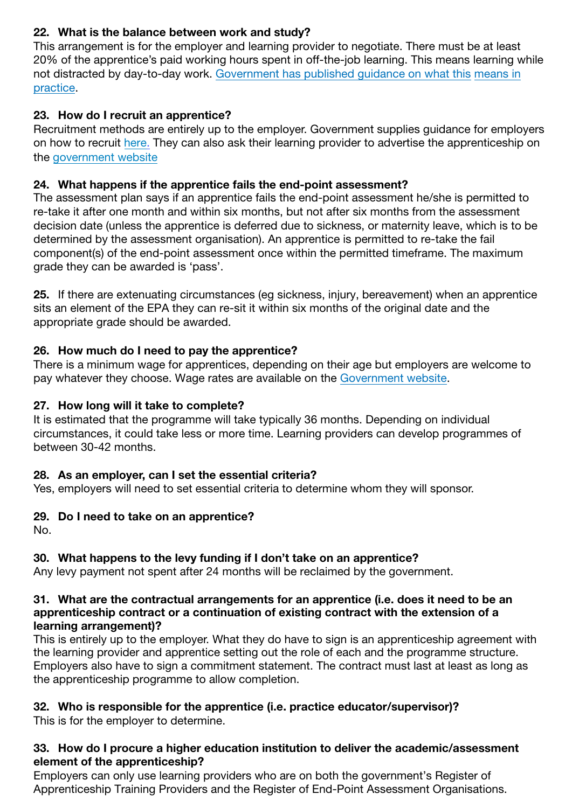## 22. What is the balance between work and study?

This arrangement is for the employer and learning provider to negotiate. There must be at least 20% of the apprentice's paid working hours spent in off-the-job learning. This means learning while [not distracted by day-to-day work. Government has published guidance on what this](https://www.gov.uk/government/publications/apprenticeships-off-the-job-training) means in practice.

### 23. How do I recruit an apprentice?

Recruitment methods are entirely up to the employer. Government supplies guidance for employers on how to recruit [here](https://www.apprenticeships.gov.uk/employer/hire-an-apprentice). They can also ask their learning provider to advertise the apprenticeship on the [government website](https://www.gov.uk/recruit-apprentice)

### 24. What happens if the apprentice fails the end-point assessment?

The assessment plan says if an apprentice fails the end-point assessment he/she is permitted to re-take it after one month and within six months, but not after six months from the assessment decision date (unless the apprentice is deferred due to sickness, or maternity leave, which is to be determined by the assessment organisation). An apprentice is permitted to re-take the fail component(s) of the end-point assessment once within the permitted timeframe. The maximum grade they can be awarded is 'pass'.

25. If there are extenuating circumstances (eg sickness, injury, bereavement) when an apprentice sits an element of the EPA they can re-sit it within six months of the original date and the appropriate grade should be awarded.

### 26. How much do I need to pay the apprentice?

There is a minimum wage for apprentices, depending on their age but employers are welcome to pay whatever they choose. Wage rates are available on the [Government website](https://www.gov.uk/take-on-an-apprentice/pay-and-conditions-for-apprentices).

#### 27. How long will it take to complete?

It is estimated that the programme will take typically 36 months. Depending on individual circumstances, it could take less or more time. Learning providers can develop programmes of between 30-42 months.

### 28. As an employer, can I set the essential criteria?

Yes, employers will need to set essential criteria to determine whom they will sponsor.

#### 29. Do I need to take on an apprentice?

No.

### 30. What happens to the levy funding if I don't take on an apprentice?

Any levy payment not spent after 24 months will be reclaimed by the government.

#### 31. What are the contractual arrangements for an apprentice (i.e. does it need to be an apprenticeship contract or a continuation of existing contract with the extension of a learning arrangement)?

This is entirely up to the employer. What they do have to sign is an apprenticeship agreement with the learning provider and apprentice setting out the role of each and the programme structure. Employers also have to sign a commitment statement. The contract must last at least as long as the apprenticeship programme to allow completion.

### 32. Who is responsible for the apprentice (i.e. practice educator/supervisor)?

This is for the employer to determine.

#### 33. How do I procure a higher education institution to deliver the academic/assessment element of the apprenticeship?

Employers can only use learning providers who are on both the government's Register of Apprenticeship Training Providers and the Register of End-Point Assessment Organisations.